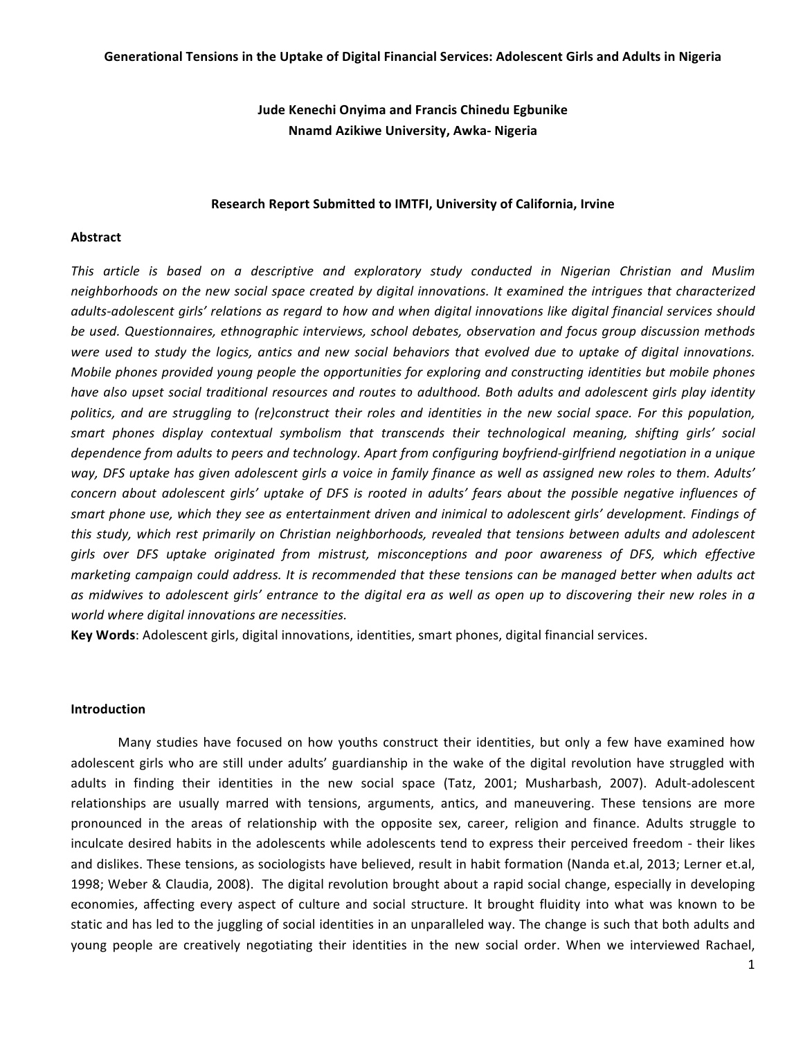## **Jude Kenechi Onyima and Francis Chinedu Egbunike Nnamd Azikiwe University, Awka- Nigeria**

## **Research Report Submitted to IMTFI, University of California, Irvine**

## **Abstract**

This article is based on a descriptive and exploratory study conducted in Nigerian Christian and Muslim *neighborhoods* on the new social space created by digital innovations. It examined the intrigues that characterized *adults-adolescent girls' relations as regard to how and when digital innovations like digital financial services should be used. Questionnaires, ethnographic interviews, school debates, observation and focus group discussion methods*  were used to study the logics, antics and new social behaviors that evolved due to uptake of digital innovations. *Mobile phones provided young people the opportunities for exploring and constructing identities but mobile phones have* also upset social traditional resources and routes to adulthood. Both adults and adolescent qirls play identity politics, and are struggling to (re)construct their roles and identities in the new social space. For this population, *smart phones display contextual symbolism that transcends their technological meaning, shifting girls' social*  dependence from adults to peers and technology. Apart from configuring boyfriend-girlfriend negotiation in a unique *way, DFS uptake has given adolescent girls a voice in family finance as well as assigned new roles to them. Adults' concern about adolescent girls' uptake of DFS is rooted in adults' fears about the possible negative influences of smart phone use, which they see as entertainment driven and inimical to adolescent qirls' development. Findings of this* study, which rest primarily on Christian neighborhoods, revealed that tensions between adults and adolescent *girls over DFS uptake originated from mistrust, misconceptions and poor awareness of DFS, which effective marketing campaign could address. It is recommended that these tensions can be managed better when adults act as midwives to adolescent girls' entrance to the digital era as well as open up to discovering their new roles in a world where digital innovations are necessities.*

**Key Words**: Adolescent girls, digital innovations, identities, smart phones, digital financial services.

## **Introduction**

Many studies have focused on how youths construct their identities, but only a few have examined how adolescent girls who are still under adults' guardianship in the wake of the digital revolution have struggled with adults in finding their identities in the new social space (Tatz, 2001; Musharbash, 2007). Adult-adolescent relationships are usually marred with tensions, arguments, antics, and maneuvering. These tensions are more pronounced in the areas of relationship with the opposite sex, career, religion and finance. Adults struggle to inculcate desired habits in the adolescents while adolescents tend to express their perceived freedom - their likes and dislikes. These tensions, as sociologists have believed, result in habit formation (Nanda et.al, 2013; Lerner et.al, 1998; Weber & Claudia, 2008). The digital revolution brought about a rapid social change, especially in developing economies, affecting every aspect of culture and social structure. It brought fluidity into what was known to be static and has led to the juggling of social identities in an unparalleled way. The change is such that both adults and young people are creatively negotiating their identities in the new social order. When we interviewed Rachael,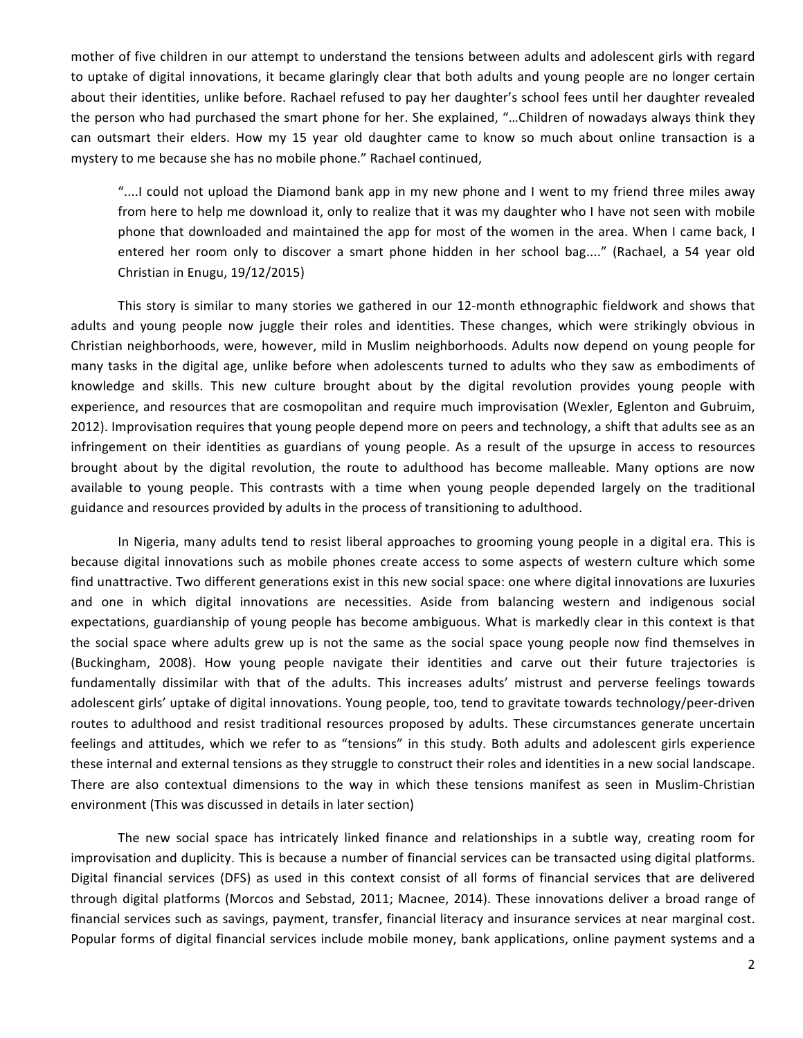mother of five children in our attempt to understand the tensions between adults and adolescent girls with regard to uptake of digital innovations, it became glaringly clear that both adults and young people are no longer certain about their identities, unlike before. Rachael refused to pay her daughter's school fees until her daughter revealed the person who had purchased the smart phone for her. She explained, "...Children of nowadays always think they can outsmart their elders. How my 15 year old daughter came to know so much about online transaction is a mystery to me because she has no mobile phone." Rachael continued,

"....I could not upload the Diamond bank app in my new phone and I went to my friend three miles away from here to help me download it, only to realize that it was my daughter who I have not seen with mobile phone that downloaded and maintained the app for most of the women in the area. When I came back, I entered her room only to discover a smart phone hidden in her school bag...." (Rachael, a 54 year old Christian in Enugu, 19/12/2015)

This story is similar to many stories we gathered in our 12-month ethnographic fieldwork and shows that adults and young people now juggle their roles and identities. These changes, which were strikingly obvious in Christian neighborhoods, were, however, mild in Muslim neighborhoods. Adults now depend on young people for many tasks in the digital age, unlike before when adolescents turned to adults who they saw as embodiments of knowledge and skills. This new culture brought about by the digital revolution provides young people with experience, and resources that are cosmopolitan and require much improvisation (Wexler, Eglenton and Gubruim, 2012). Improvisation requires that young people depend more on peers and technology, a shift that adults see as an infringement on their identities as guardians of young people. As a result of the upsurge in access to resources brought about by the digital revolution, the route to adulthood has become malleable. Many options are now available to young people. This contrasts with a time when young people depended largely on the traditional guidance and resources provided by adults in the process of transitioning to adulthood.

In Nigeria, many adults tend to resist liberal approaches to grooming young people in a digital era. This is because digital innovations such as mobile phones create access to some aspects of western culture which some find unattractive. Two different generations exist in this new social space: one where digital innovations are luxuries and one in which digital innovations are necessities. Aside from balancing western and indigenous social expectations, guardianship of young people has become ambiguous. What is markedly clear in this context is that the social space where adults grew up is not the same as the social space young people now find themselves in (Buckingham, 2008). How young people navigate their identities and carve out their future trajectories is fundamentally dissimilar with that of the adults. This increases adults' mistrust and perverse feelings towards adolescent girls' uptake of digital innovations. Young people, too, tend to gravitate towards technology/peer-driven routes to adulthood and resist traditional resources proposed by adults. These circumstances generate uncertain feelings and attitudes, which we refer to as "tensions" in this study. Both adults and adolescent girls experience these internal and external tensions as they struggle to construct their roles and identities in a new social landscape. There are also contextual dimensions to the way in which these tensions manifest as seen in Muslim-Christian environment (This was discussed in details in later section)

The new social space has intricately linked finance and relationships in a subtle way, creating room for improvisation and duplicity. This is because a number of financial services can be transacted using digital platforms. Digital financial services (DFS) as used in this context consist of all forms of financial services that are delivered through digital platforms (Morcos and Sebstad, 2011; Macnee, 2014). These innovations deliver a broad range of financial services such as savings, payment, transfer, financial literacy and insurance services at near marginal cost. Popular forms of digital financial services include mobile money, bank applications, online payment systems and a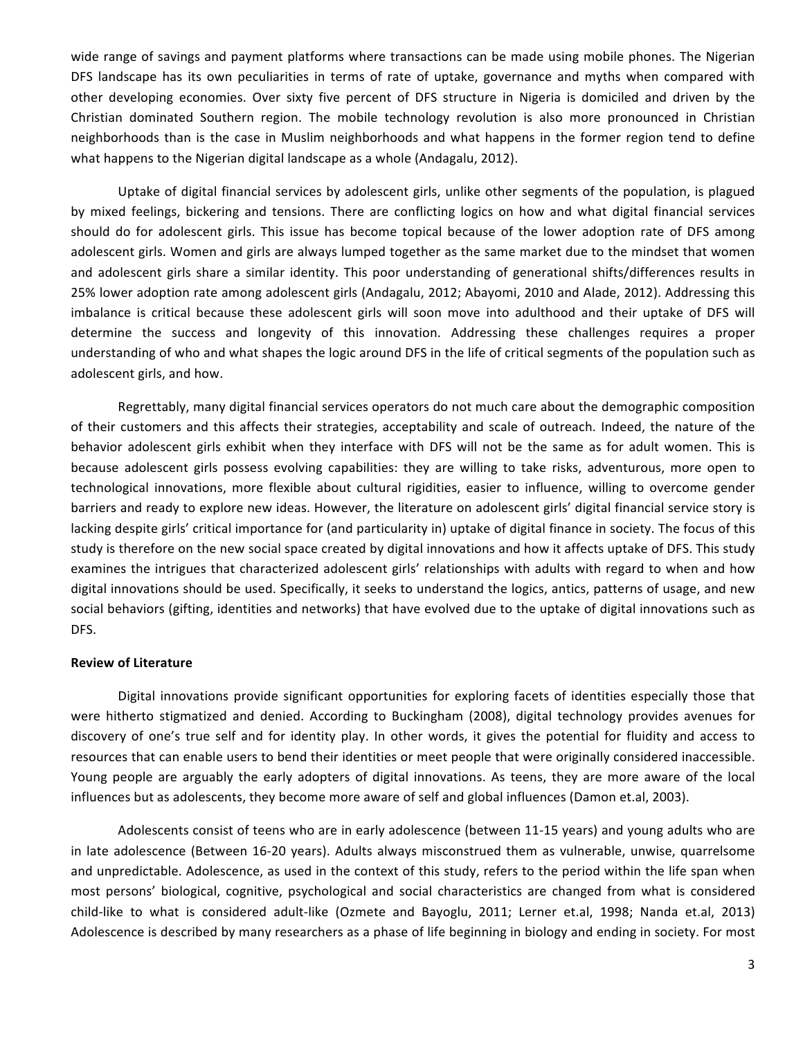wide range of savings and payment platforms where transactions can be made using mobile phones. The Nigerian DFS landscape has its own peculiarities in terms of rate of uptake, governance and myths when compared with other developing economies. Over sixty five percent of DFS structure in Nigeria is domiciled and driven by the Christian dominated Southern region. The mobile technology revolution is also more pronounced in Christian neighborhoods than is the case in Muslim neighborhoods and what happens in the former region tend to define what happens to the Nigerian digital landscape as a whole (Andagalu, 2012).

Uptake of digital financial services by adolescent girls, unlike other segments of the population, is plagued by mixed feelings, bickering and tensions. There are conflicting logics on how and what digital financial services should do for adolescent girls. This issue has become topical because of the lower adoption rate of DFS among adolescent girls. Women and girls are always lumped together as the same market due to the mindset that women and adolescent girls share a similar identity. This poor understanding of generational shifts/differences results in 25% lower adoption rate among adolescent girls (Andagalu, 2012; Abayomi, 2010 and Alade, 2012). Addressing this imbalance is critical because these adolescent girls will soon move into adulthood and their uptake of DFS will determine the success and longevity of this innovation. Addressing these challenges requires a proper understanding of who and what shapes the logic around DFS in the life of critical segments of the population such as adolescent girls, and how.

Regrettably, many digital financial services operators do not much care about the demographic composition of their customers and this affects their strategies, acceptability and scale of outreach. Indeed, the nature of the behavior adolescent girls exhibit when they interface with DFS will not be the same as for adult women. This is because adolescent girls possess evolving capabilities: they are willing to take risks, adventurous, more open to technological innovations, more flexible about cultural rigidities, easier to influence, willing to overcome gender barriers and ready to explore new ideas. However, the literature on adolescent girls' digital financial service story is lacking despite girls' critical importance for (and particularity in) uptake of digital finance in society. The focus of this study is therefore on the new social space created by digital innovations and how it affects uptake of DFS. This study examines the intrigues that characterized adolescent girls' relationships with adults with regard to when and how digital innovations should be used. Specifically, it seeks to understand the logics, antics, patterns of usage, and new social behaviors (gifting, identities and networks) that have evolved due to the uptake of digital innovations such as DFS. 

## **Review of Literature**

Digital innovations provide significant opportunities for exploring facets of identities especially those that were hitherto stigmatized and denied. According to Buckingham (2008), digital technology provides avenues for discovery of one's true self and for identity play. In other words, it gives the potential for fluidity and access to resources that can enable users to bend their identities or meet people that were originally considered inaccessible. Young people are arguably the early adopters of digital innovations. As teens, they are more aware of the local influences but as adolescents, they become more aware of self and global influences (Damon et.al, 2003).

Adolescents consist of teens who are in early adolescence (between 11-15 years) and young adults who are in late adolescence (Between 16-20 years). Adults always misconstrued them as vulnerable, unwise, quarrelsome and unpredictable. Adolescence, as used in the context of this study, refers to the period within the life span when most persons' biological, cognitive, psychological and social characteristics are changed from what is considered child-like to what is considered adult-like (Ozmete and Bayoglu, 2011; Lerner et.al, 1998; Nanda et.al, 2013) Adolescence is described by many researchers as a phase of life beginning in biology and ending in society. For most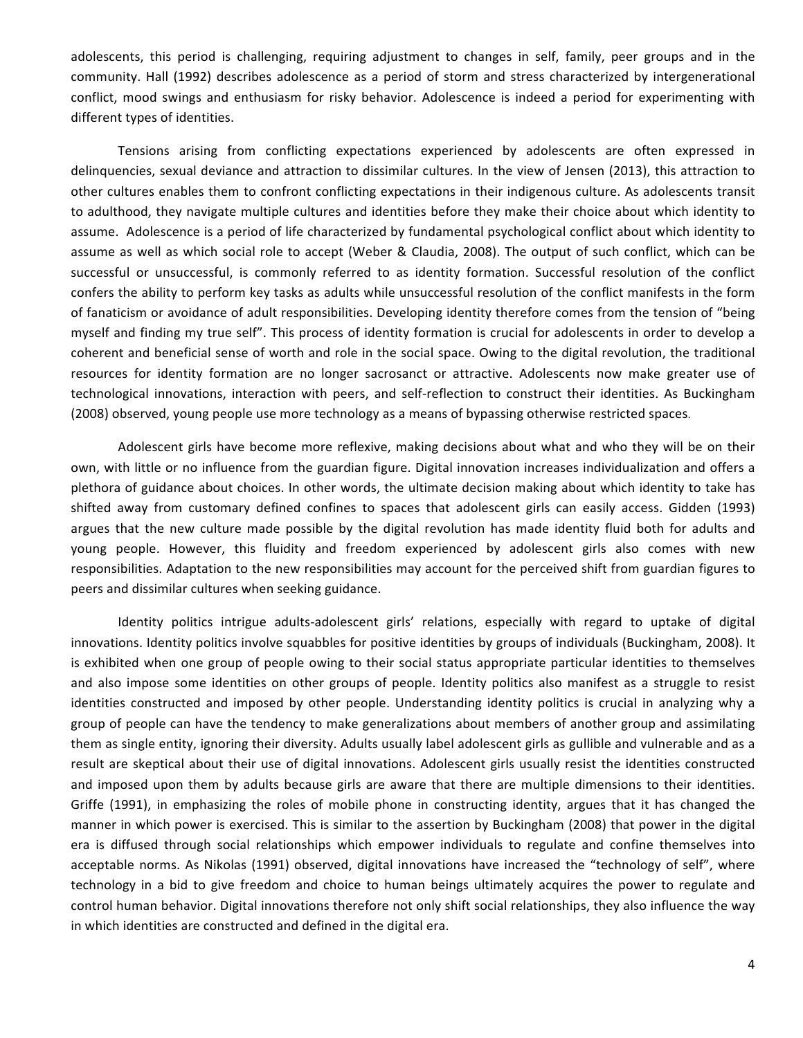adolescents, this period is challenging, requiring adjustment to changes in self, family, peer groups and in the community. Hall (1992) describes adolescence as a period of storm and stress characterized by intergenerational conflict, mood swings and enthusiasm for risky behavior. Adolescence is indeed a period for experimenting with different types of identities.

Tensions arising from conflicting expectations experienced by adolescents are often expressed in delinquencies, sexual deviance and attraction to dissimilar cultures. In the view of Jensen (2013), this attraction to other cultures enables them to confront conflicting expectations in their indigenous culture. As adolescents transit to adulthood, they navigate multiple cultures and identities before they make their choice about which identity to assume. Adolescence is a period of life characterized by fundamental psychological conflict about which identity to assume as well as which social role to accept (Weber & Claudia, 2008). The output of such conflict, which can be successful or unsuccessful, is commonly referred to as identity formation. Successful resolution of the conflict confers the ability to perform key tasks as adults while unsuccessful resolution of the conflict manifests in the form of fanaticism or avoidance of adult responsibilities. Developing identity therefore comes from the tension of "being myself and finding my true self". This process of identity formation is crucial for adolescents in order to develop a coherent and beneficial sense of worth and role in the social space. Owing to the digital revolution, the traditional resources for identity formation are no longer sacrosanct or attractive. Adolescents now make greater use of technological innovations, interaction with peers, and self-reflection to construct their identities. As Buckingham (2008) observed, young people use more technology as a means of bypassing otherwise restricted spaces.

Adolescent girls have become more reflexive, making decisions about what and who they will be on their own, with little or no influence from the guardian figure. Digital innovation increases individualization and offers a plethora of guidance about choices. In other words, the ultimate decision making about which identity to take has shifted away from customary defined confines to spaces that adolescent girls can easily access. Gidden (1993) argues that the new culture made possible by the digital revolution has made identity fluid both for adults and young people. However, this fluidity and freedom experienced by adolescent girls also comes with new responsibilities. Adaptation to the new responsibilities may account for the perceived shift from guardian figures to peers and dissimilar cultures when seeking guidance.

Identity politics intrigue adults-adolescent girls' relations, especially with regard to uptake of digital innovations. Identity politics involve squabbles for positive identities by groups of individuals (Buckingham, 2008). It is exhibited when one group of people owing to their social status appropriate particular identities to themselves and also impose some identities on other groups of people. Identity politics also manifest as a struggle to resist identities constructed and imposed by other people. Understanding identity politics is crucial in analyzing why a group of people can have the tendency to make generalizations about members of another group and assimilating them as single entity, ignoring their diversity. Adults usually label adolescent girls as gullible and vulnerable and as a result are skeptical about their use of digital innovations. Adolescent girls usually resist the identities constructed and imposed upon them by adults because girls are aware that there are multiple dimensions to their identities. Griffe (1991), in emphasizing the roles of mobile phone in constructing identity, argues that it has changed the manner in which power is exercised. This is similar to the assertion by Buckingham (2008) that power in the digital era is diffused through social relationships which empower individuals to regulate and confine themselves into acceptable norms. As Nikolas (1991) observed, digital innovations have increased the "technology of self", where technology in a bid to give freedom and choice to human beings ultimately acquires the power to regulate and control human behavior. Digital innovations therefore not only shift social relationships, they also influence the way in which identities are constructed and defined in the digital era.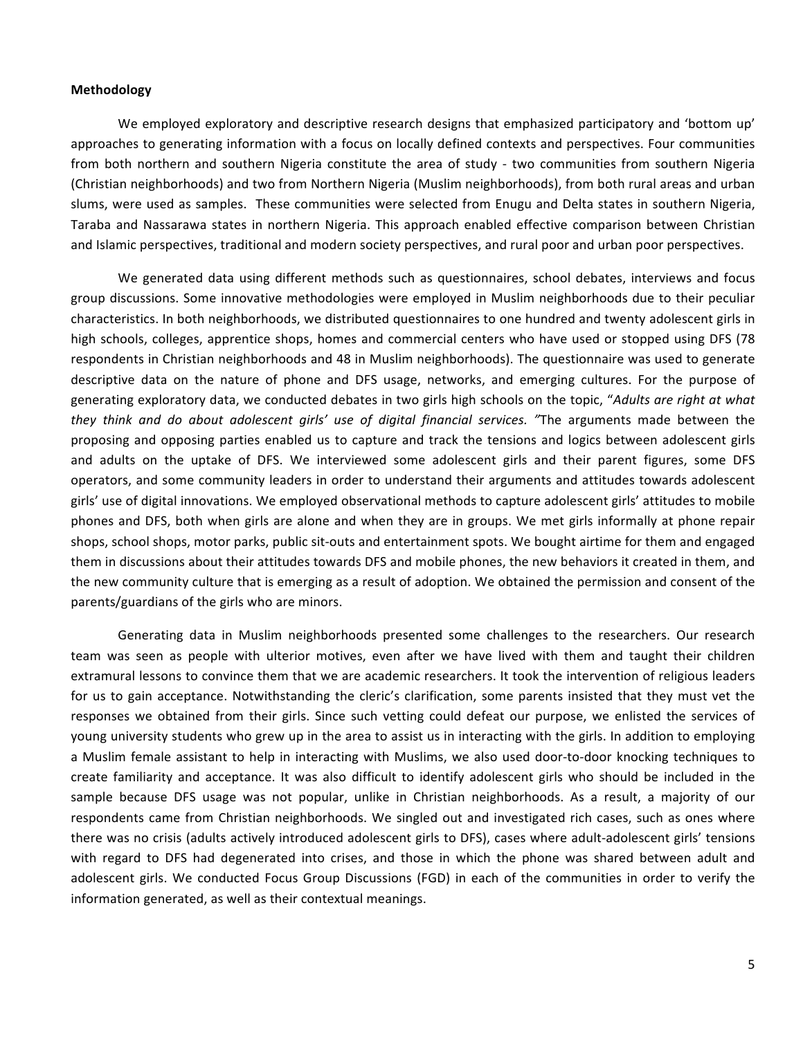### **Methodology**

We employed exploratory and descriptive research designs that emphasized participatory and 'bottom up' approaches to generating information with a focus on locally defined contexts and perspectives. Four communities from both northern and southern Nigeria constitute the area of study - two communities from southern Nigeria (Christian neighborhoods) and two from Northern Nigeria (Muslim neighborhoods), from both rural areas and urban slums, were used as samples. These communities were selected from Enugu and Delta states in southern Nigeria, Taraba and Nassarawa states in northern Nigeria. This approach enabled effective comparison between Christian and Islamic perspectives, traditional and modern society perspectives, and rural poor and urban poor perspectives.

We generated data using different methods such as questionnaires, school debates, interviews and focus group discussions. Some innovative methodologies were employed in Muslim neighborhoods due to their peculiar characteristics. In both neighborhoods, we distributed questionnaires to one hundred and twenty adolescent girls in high schools, colleges, apprentice shops, homes and commercial centers who have used or stopped using DFS (78 respondents in Christian neighborhoods and 48 in Muslim neighborhoods). The questionnaire was used to generate descriptive data on the nature of phone and DFS usage, networks, and emerging cultures. For the purpose of generating exploratory data, we conducted debates in two girls high schools on the topic, "Adults are right at what *they think and do about adolescent girls' use of digital financial services. "The arguments made between the* proposing and opposing parties enabled us to capture and track the tensions and logics between adolescent girls and adults on the uptake of DFS. We interviewed some adolescent girls and their parent figures, some DFS operators, and some community leaders in order to understand their arguments and attitudes towards adolescent girls' use of digital innovations. We employed observational methods to capture adolescent girls' attitudes to mobile phones and DFS, both when girls are alone and when they are in groups. We met girls informally at phone repair shops, school shops, motor parks, public sit-outs and entertainment spots. We bought airtime for them and engaged them in discussions about their attitudes towards DFS and mobile phones, the new behaviors it created in them, and the new community culture that is emerging as a result of adoption. We obtained the permission and consent of the parents/guardians of the girls who are minors.

Generating data in Muslim neighborhoods presented some challenges to the researchers. Our research team was seen as people with ulterior motives, even after we have lived with them and taught their children extramural lessons to convince them that we are academic researchers. It took the intervention of religious leaders for us to gain acceptance. Notwithstanding the cleric's clarification, some parents insisted that they must vet the responses we obtained from their girls. Since such vetting could defeat our purpose, we enlisted the services of young university students who grew up in the area to assist us in interacting with the girls. In addition to employing a Muslim female assistant to help in interacting with Muslims, we also used door-to-door knocking techniques to create familiarity and acceptance. It was also difficult to identify adolescent girls who should be included in the sample because DFS usage was not popular, unlike in Christian neighborhoods. As a result, a majority of our respondents came from Christian neighborhoods. We singled out and investigated rich cases, such as ones where there was no crisis (adults actively introduced adolescent girls to DFS), cases where adult-adolescent girls' tensions with regard to DFS had degenerated into crises, and those in which the phone was shared between adult and adolescent girls. We conducted Focus Group Discussions (FGD) in each of the communities in order to verify the information generated, as well as their contextual meanings.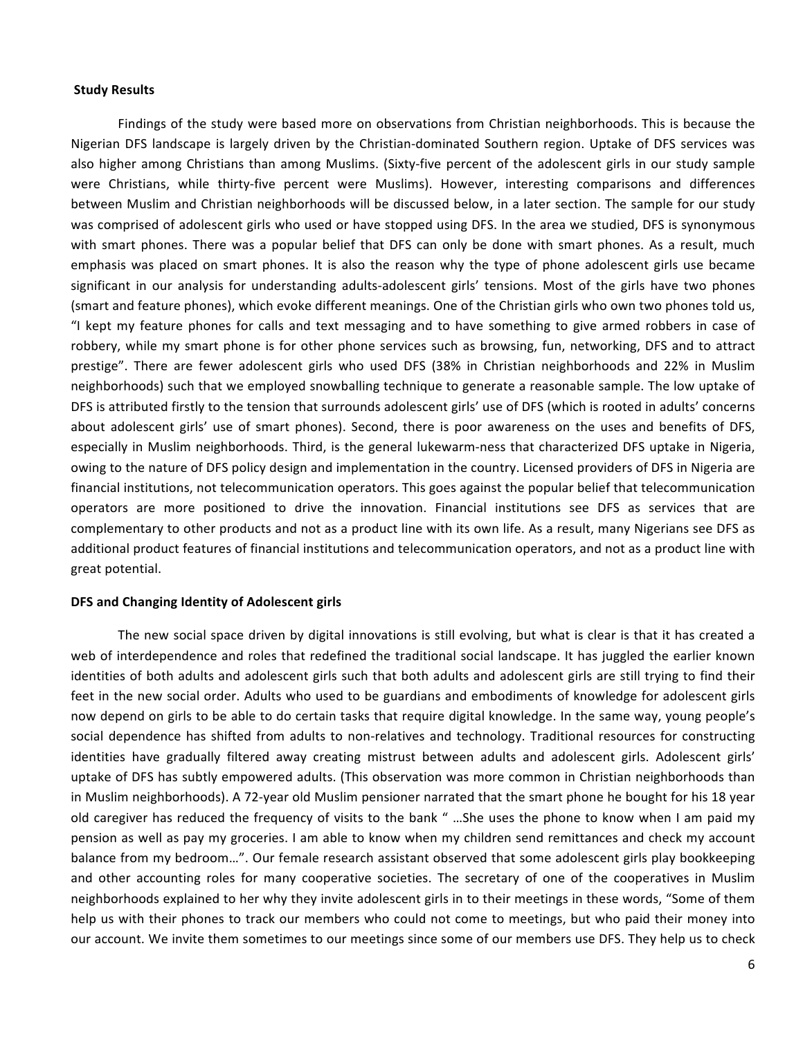#### **Study Results**

Findings of the study were based more on observations from Christian neighborhoods. This is because the Nigerian DFS landscape is largely driven by the Christian-dominated Southern region. Uptake of DFS services was also higher among Christians than among Muslims. (Sixty-five percent of the adolescent girls in our study sample were Christians, while thirty-five percent were Muslims). However, interesting comparisons and differences between Muslim and Christian neighborhoods will be discussed below, in a later section. The sample for our study was comprised of adolescent girls who used or have stopped using DFS. In the area we studied, DFS is synonymous with smart phones. There was a popular belief that DFS can only be done with smart phones. As a result, much emphasis was placed on smart phones. It is also the reason why the type of phone adolescent girls use became significant in our analysis for understanding adults-adolescent girls' tensions. Most of the girls have two phones (smart and feature phones), which evoke different meanings. One of the Christian girls who own two phones told us, "I kept my feature phones for calls and text messaging and to have something to give armed robbers in case of robbery, while my smart phone is for other phone services such as browsing, fun, networking, DFS and to attract prestige". There are fewer adolescent girls who used DFS (38% in Christian neighborhoods and 22% in Muslim neighborhoods) such that we employed snowballing technique to generate a reasonable sample. The low uptake of DFS is attributed firstly to the tension that surrounds adolescent girls' use of DFS (which is rooted in adults' concerns about adolescent girls' use of smart phones). Second, there is poor awareness on the uses and benefits of DFS, especially in Muslim neighborhoods. Third, is the general lukewarm-ness that characterized DFS uptake in Nigeria, owing to the nature of DFS policy design and implementation in the country. Licensed providers of DFS in Nigeria are financial institutions, not telecommunication operators. This goes against the popular belief that telecommunication operators are more positioned to drive the innovation. Financial institutions see DFS as services that are complementary to other products and not as a product line with its own life. As a result, many Nigerians see DFS as additional product features of financial institutions and telecommunication operators, and not as a product line with great potential.

#### **DFS and Changing Identity of Adolescent girls**

The new social space driven by digital innovations is still evolving, but what is clear is that it has created a web of interdependence and roles that redefined the traditional social landscape. It has juggled the earlier known identities of both adults and adolescent girls such that both adults and adolescent girls are still trying to find their feet in the new social order. Adults who used to be guardians and embodiments of knowledge for adolescent girls now depend on girls to be able to do certain tasks that require digital knowledge. In the same way, young people's social dependence has shifted from adults to non-relatives and technology. Traditional resources for constructing identities have gradually filtered away creating mistrust between adults and adolescent girls. Adolescent girls' uptake of DFS has subtly empowered adults. (This observation was more common in Christian neighborhoods than in Muslim neighborhoods). A 72-year old Muslim pensioner narrated that the smart phone he bought for his 18 year old caregiver has reduced the frequency of visits to the bank " ...She uses the phone to know when I am paid my pension as well as pay my groceries. I am able to know when my children send remittances and check my account balance from my bedroom...". Our female research assistant observed that some adolescent girls play bookkeeping and other accounting roles for many cooperative societies. The secretary of one of the cooperatives in Muslim neighborhoods explained to her why they invite adolescent girls in to their meetings in these words, "Some of them help us with their phones to track our members who could not come to meetings, but who paid their money into our account. We invite them sometimes to our meetings since some of our members use DFS. They help us to check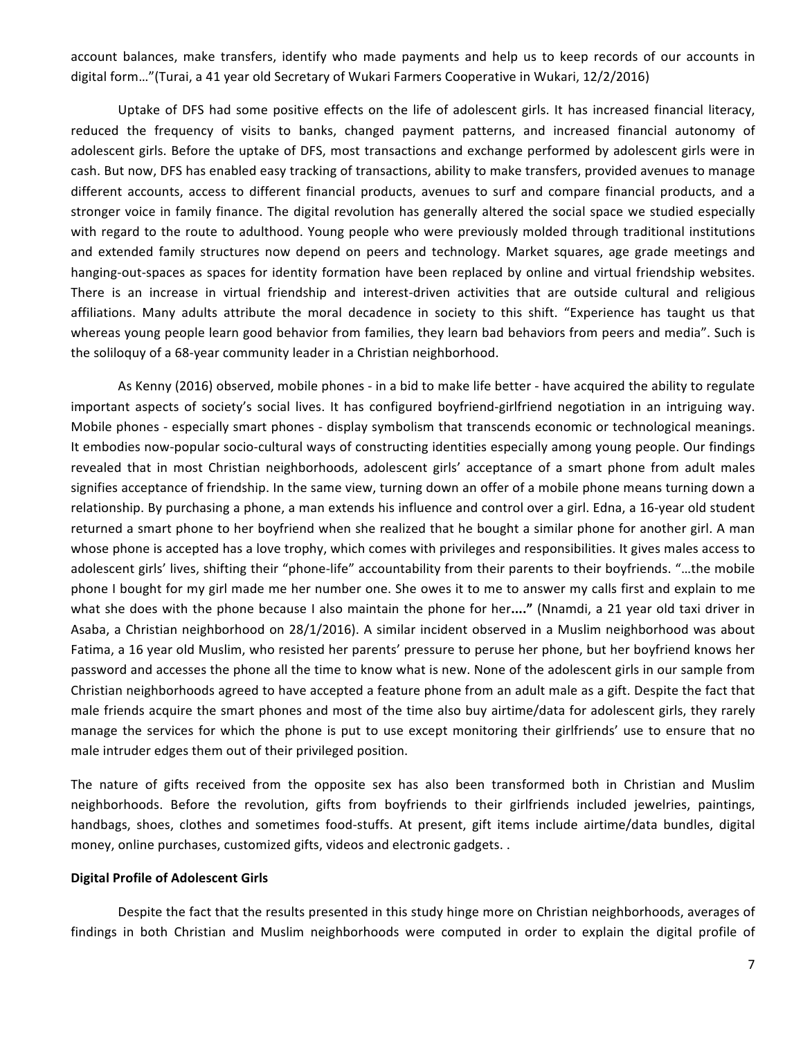account balances, make transfers, identify who made payments and help us to keep records of our accounts in digital form..."(Turai, a 41 year old Secretary of Wukari Farmers Cooperative in Wukari, 12/2/2016)

Uptake of DFS had some positive effects on the life of adolescent girls. It has increased financial literacy, reduced the frequency of visits to banks, changed payment patterns, and increased financial autonomy of adolescent girls. Before the uptake of DFS, most transactions and exchange performed by adolescent girls were in cash. But now, DFS has enabled easy tracking of transactions, ability to make transfers, provided avenues to manage different accounts, access to different financial products, avenues to surf and compare financial products, and a stronger voice in family finance. The digital revolution has generally altered the social space we studied especially with regard to the route to adulthood. Young people who were previously molded through traditional institutions and extended family structures now depend on peers and technology. Market squares, age grade meetings and hanging-out-spaces as spaces for identity formation have been replaced by online and virtual friendship websites. There is an increase in virtual friendship and interest-driven activities that are outside cultural and religious affiliations. Many adults attribute the moral decadence in society to this shift. "Experience has taught us that whereas young people learn good behavior from families, they learn bad behaviors from peers and media". Such is the soliloquy of a 68-year community leader in a Christian neighborhood.

As Kenny (2016) observed, mobile phones - in a bid to make life better - have acquired the ability to regulate important aspects of society's social lives. It has configured boyfriend-girlfriend negotiation in an intriguing way. Mobile phones - especially smart phones - display symbolism that transcends economic or technological meanings. It embodies now-popular socio-cultural ways of constructing identities especially among young people. Our findings revealed that in most Christian neighborhoods, adolescent girls' acceptance of a smart phone from adult males signifies acceptance of friendship. In the same view, turning down an offer of a mobile phone means turning down a relationship. By purchasing a phone, a man extends his influence and control over a girl. Edna, a 16-year old student returned a smart phone to her boyfriend when she realized that he bought a similar phone for another girl. A man whose phone is accepted has a love trophy, which comes with privileges and responsibilities. It gives males access to adolescent girls' lives, shifting their "phone-life" accountability from their parents to their boyfriends. "...the mobile phone I bought for my girl made me her number one. She owes it to me to answer my calls first and explain to me what she does with the phone because I also maintain the phone for her...." (Nnamdi, a 21 year old taxi driver in Asaba, a Christian neighborhood on 28/1/2016). A similar incident observed in a Muslim neighborhood was about Fatima, a 16 year old Muslim, who resisted her parents' pressure to peruse her phone, but her boyfriend knows her password and accesses the phone all the time to know what is new. None of the adolescent girls in our sample from Christian neighborhoods agreed to have accepted a feature phone from an adult male as a gift. Despite the fact that male friends acquire the smart phones and most of the time also buy airtime/data for adolescent girls, they rarely manage the services for which the phone is put to use except monitoring their girlfriends' use to ensure that no male intruder edges them out of their privileged position.

The nature of gifts received from the opposite sex has also been transformed both in Christian and Muslim neighborhoods. Before the revolution, gifts from boyfriends to their girlfriends included jewelries, paintings, handbags, shoes, clothes and sometimes food-stuffs. At present, gift items include airtime/data bundles, digital money, online purchases, customized gifts, videos and electronic gadgets. .

## **Digital Profile of Adolescent Girls**

Despite the fact that the results presented in this study hinge more on Christian neighborhoods, averages of findings in both Christian and Muslim neighborhoods were computed in order to explain the digital profile of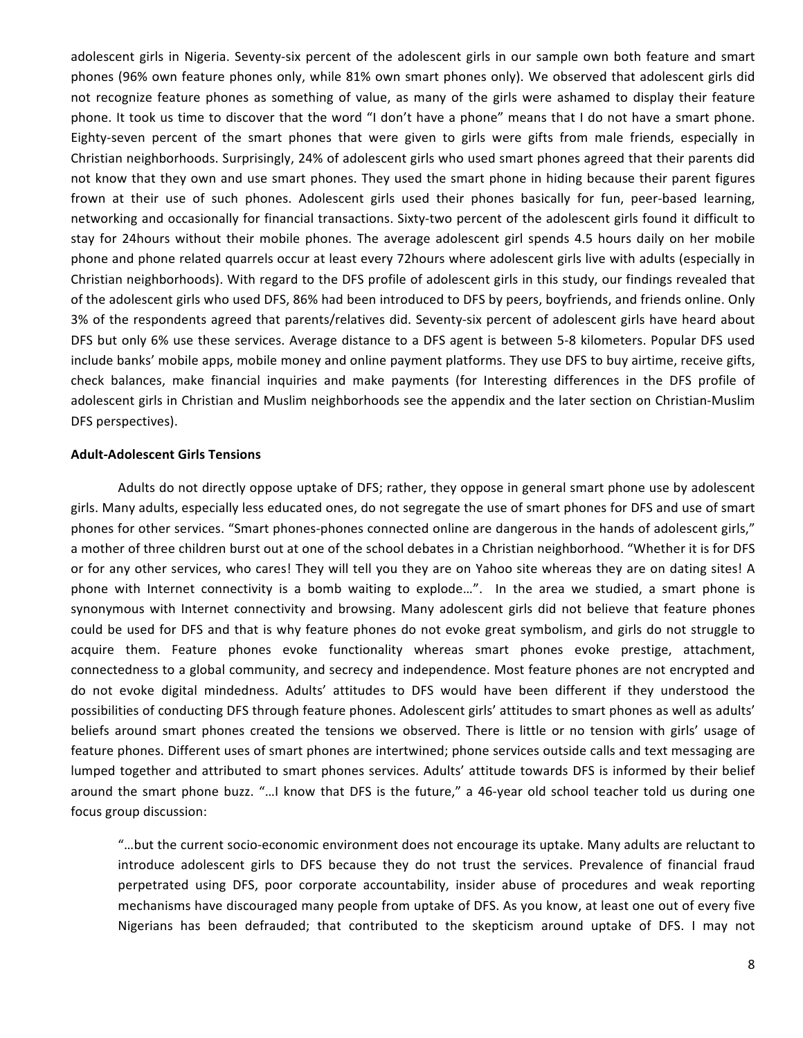adolescent girls in Nigeria. Seventy-six percent of the adolescent girls in our sample own both feature and smart phones (96% own feature phones only, while 81% own smart phones only). We observed that adolescent girls did not recognize feature phones as something of value, as many of the girls were ashamed to display their feature phone. It took us time to discover that the word "I don't have a phone" means that I do not have a smart phone. Eighty-seven percent of the smart phones that were given to girls were gifts from male friends, especially in Christian neighborhoods. Surprisingly, 24% of adolescent girls who used smart phones agreed that their parents did not know that they own and use smart phones. They used the smart phone in hiding because their parent figures frown at their use of such phones. Adolescent girls used their phones basically for fun, peer-based learning, networking and occasionally for financial transactions. Sixty-two percent of the adolescent girls found it difficult to stay for 24hours without their mobile phones. The average adolescent girl spends 4.5 hours daily on her mobile phone and phone related quarrels occur at least every 72hours where adolescent girls live with adults (especially in Christian neighborhoods). With regard to the DFS profile of adolescent girls in this study, our findings revealed that of the adolescent girls who used DFS, 86% had been introduced to DFS by peers, boyfriends, and friends online. Only 3% of the respondents agreed that parents/relatives did. Seventy-six percent of adolescent girls have heard about DFS but only 6% use these services. Average distance to a DFS agent is between 5-8 kilometers. Popular DFS used include banks' mobile apps, mobile money and online payment platforms. They use DFS to buy airtime, receive gifts, check balances, make financial inquiries and make payments (for Interesting differences in the DFS profile of adolescent girls in Christian and Muslim neighborhoods see the appendix and the later section on Christian-Muslim DFS perspectives).

## **Adult-Adolescent Girls Tensions**

Adults do not directly oppose uptake of DFS; rather, they oppose in general smart phone use by adolescent girls. Many adults, especially less educated ones, do not segregate the use of smart phones for DFS and use of smart phones for other services. "Smart phones-phones connected online are dangerous in the hands of adolescent girls," a mother of three children burst out at one of the school debates in a Christian neighborhood. "Whether it is for DFS or for any other services, who cares! They will tell you they are on Yahoo site whereas they are on dating sites! A phone with Internet connectivity is a bomb waiting to explode...". In the area we studied, a smart phone is synonymous with Internet connectivity and browsing. Many adolescent girls did not believe that feature phones could be used for DFS and that is why feature phones do not evoke great symbolism, and girls do not struggle to acquire them. Feature phones evoke functionality whereas smart phones evoke prestige, attachment, connectedness to a global community, and secrecy and independence. Most feature phones are not encrypted and do not evoke digital mindedness. Adults' attitudes to DFS would have been different if they understood the possibilities of conducting DFS through feature phones. Adolescent girls' attitudes to smart phones as well as adults' beliefs around smart phones created the tensions we observed. There is little or no tension with girls' usage of feature phones. Different uses of smart phones are intertwined; phone services outside calls and text messaging are lumped together and attributed to smart phones services. Adults' attitude towards DFS is informed by their belief around the smart phone buzz. "...I know that DFS is the future," a 46-year old school teacher told us during one focus group discussion:

"...but the current socio-economic environment does not encourage its uptake. Many adults are reluctant to introduce adolescent girls to DFS because they do not trust the services. Prevalence of financial fraud perpetrated using DFS, poor corporate accountability, insider abuse of procedures and weak reporting mechanisms have discouraged many people from uptake of DFS. As you know, at least one out of every five Nigerians has been defrauded; that contributed to the skepticism around uptake of DFS. I may not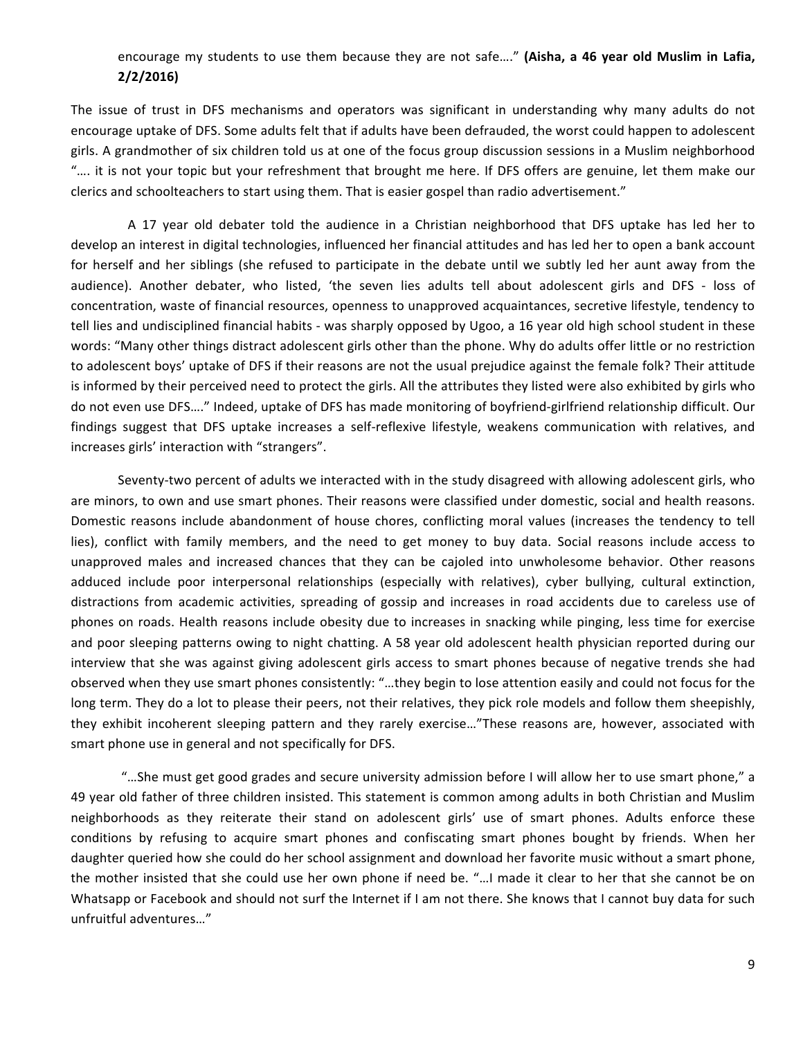## encourage my students to use them because they are not safe...." (Aisha, a 46 year old Muslim in Lafia, **2/2/2016)**

The issue of trust in DFS mechanisms and operators was significant in understanding why many adults do not encourage uptake of DFS. Some adults felt that if adults have been defrauded, the worst could happen to adolescent girls. A grandmother of six children told us at one of the focus group discussion sessions in a Muslim neighborhood ".... it is not your topic but your refreshment that brought me here. If DFS offers are genuine, let them make our clerics and schoolteachers to start using them. That is easier gospel than radio advertisement."

A 17 year old debater told the audience in a Christian neighborhood that DFS uptake has led her to develop an interest in digital technologies, influenced her financial attitudes and has led her to open a bank account for herself and her siblings (she refused to participate in the debate until we subtly led her aunt away from the audience). Another debater, who listed, 'the seven lies adults tell about adolescent girls and DFS - loss of concentration, waste of financial resources, openness to unapproved acquaintances, secretive lifestyle, tendency to tell lies and undisciplined financial habits - was sharply opposed by Ugoo, a 16 year old high school student in these words: "Many other things distract adolescent girls other than the phone. Why do adults offer little or no restriction to adolescent boys' uptake of DFS if their reasons are not the usual prejudice against the female folk? Their attitude is informed by their perceived need to protect the girls. All the attributes they listed were also exhibited by girls who do not even use DFS...." Indeed, uptake of DFS has made monitoring of boyfriend-girlfriend relationship difficult. Our findings suggest that DFS uptake increases a self-reflexive lifestyle, weakens communication with relatives, and increases girls' interaction with "strangers".

Seventy-two percent of adults we interacted with in the study disagreed with allowing adolescent girls, who are minors, to own and use smart phones. Their reasons were classified under domestic, social and health reasons. Domestic reasons include abandonment of house chores, conflicting moral values (increases the tendency to tell lies), conflict with family members, and the need to get money to buy data. Social reasons include access to unapproved males and increased chances that they can be cajoled into unwholesome behavior. Other reasons adduced include poor interpersonal relationships (especially with relatives), cyber bullying, cultural extinction, distractions from academic activities, spreading of gossip and increases in road accidents due to careless use of phones on roads. Health reasons include obesity due to increases in snacking while pinging, less time for exercise and poor sleeping patterns owing to night chatting. A 58 year old adolescent health physician reported during our interview that she was against giving adolescent girls access to smart phones because of negative trends she had observed when they use smart phones consistently: "...they begin to lose attention easily and could not focus for the long term. They do a lot to please their peers, not their relatives, they pick role models and follow them sheepishly, they exhibit incoherent sleeping pattern and they rarely exercise..."These reasons are, however, associated with smart phone use in general and not specifically for DFS.

"...She must get good grades and secure university admission before I will allow her to use smart phone," a 49 year old father of three children insisted. This statement is common among adults in both Christian and Muslim neighborhoods as they reiterate their stand on adolescent girls' use of smart phones. Adults enforce these conditions by refusing to acquire smart phones and confiscating smart phones bought by friends. When her daughter queried how she could do her school assignment and download her favorite music without a smart phone, the mother insisted that she could use her own phone if need be. "...I made it clear to her that she cannot be on Whatsapp or Facebook and should not surf the Internet if I am not there. She knows that I cannot buy data for such unfruitful adventures..."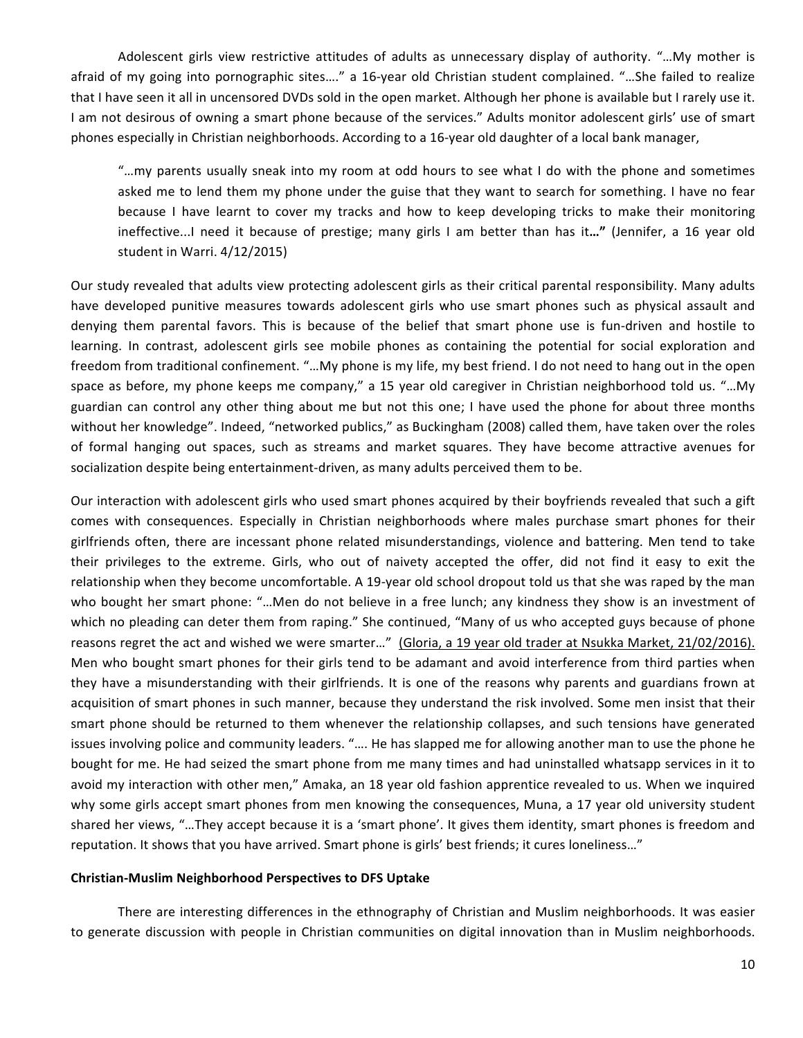Adolescent girls view restrictive attitudes of adults as unnecessary display of authority. "...My mother is afraid of my going into pornographic sites...." a 16-year old Christian student complained. "...She failed to realize that I have seen it all in uncensored DVDs sold in the open market. Although her phone is available but I rarely use it. I am not desirous of owning a smart phone because of the services." Adults monitor adolescent girls' use of smart phones especially in Christian neighborhoods. According to a 16-year old daughter of a local bank manager,

"...my parents usually sneak into my room at odd hours to see what I do with the phone and sometimes asked me to lend them my phone under the guise that they want to search for something. I have no fear because I have learnt to cover my tracks and how to keep developing tricks to make their monitoring ineffective...I need it because of prestige; many girls I am better than has it..." (Jennifer, a 16 year old student in Warri.  $4/12/2015$ )

Our study revealed that adults view protecting adolescent girls as their critical parental responsibility. Many adults have developed punitive measures towards adolescent girls who use smart phones such as physical assault and denying them parental favors. This is because of the belief that smart phone use is fun-driven and hostile to learning. In contrast, adolescent girls see mobile phones as containing the potential for social exploration and freedom from traditional confinement. "...My phone is my life, my best friend. I do not need to hang out in the open space as before, my phone keeps me company," a 15 year old caregiver in Christian neighborhood told us. "...My guardian can control any other thing about me but not this one; I have used the phone for about three months without her knowledge". Indeed, "networked publics," as Buckingham (2008) called them, have taken over the roles of formal hanging out spaces, such as streams and market squares. They have become attractive avenues for socialization despite being entertainment-driven, as many adults perceived them to be.

Our interaction with adolescent girls who used smart phones acquired by their boyfriends revealed that such a gift comes with consequences. Especially in Christian neighborhoods where males purchase smart phones for their girlfriends often, there are incessant phone related misunderstandings, violence and battering. Men tend to take their privileges to the extreme. Girls, who out of naivety accepted the offer, did not find it easy to exit the relationship when they become uncomfortable. A 19-year old school dropout told us that she was raped by the man who bought her smart phone: "...Men do not believe in a free lunch; any kindness they show is an investment of which no pleading can deter them from raping." She continued, "Many of us who accepted guys because of phone reasons regret the act and wished we were smarter..." (Gloria, a 19 year old trader at Nsukka Market, 21/02/2016). Men who bought smart phones for their girls tend to be adamant and avoid interference from third parties when they have a misunderstanding with their girlfriends. It is one of the reasons why parents and guardians frown at acquisition of smart phones in such manner, because they understand the risk involved. Some men insist that their smart phone should be returned to them whenever the relationship collapses, and such tensions have generated issues involving police and community leaders. ".... He has slapped me for allowing another man to use the phone he bought for me. He had seized the smart phone from me many times and had uninstalled whatsapp services in it to avoid my interaction with other men," Amaka, an 18 year old fashion apprentice revealed to us. When we inquired why some girls accept smart phones from men knowing the consequences, Muna, a 17 year old university student shared her views, "...They accept because it is a 'smart phone'. It gives them identity, smart phones is freedom and reputation. It shows that you have arrived. Smart phone is girls' best friends; it cures loneliness..."

## **Christian-Muslim Neighborhood Perspectives to DFS Uptake**

There are interesting differences in the ethnography of Christian and Muslim neighborhoods. It was easier to generate discussion with people in Christian communities on digital innovation than in Muslim neighborhoods.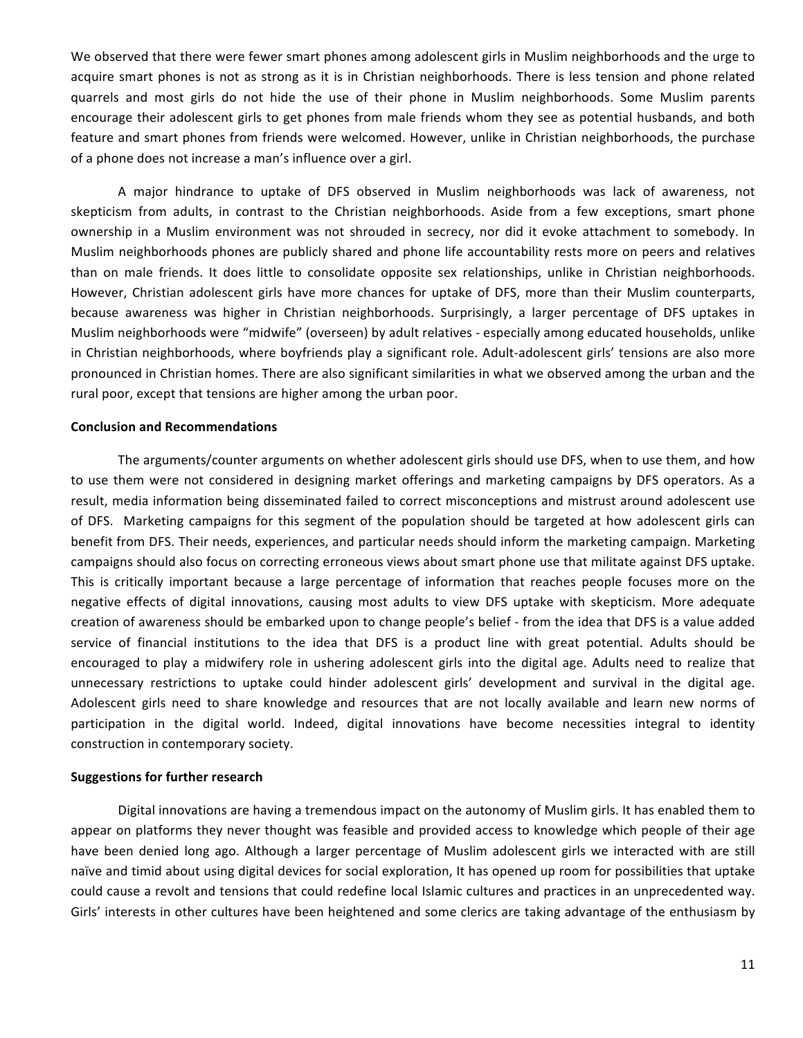We observed that there were fewer smart phones among adolescent girls in Muslim neighborhoods and the urge to acquire smart phones is not as strong as it is in Christian neighborhoods. There is less tension and phone related quarrels and most girls do not hide the use of their phone in Muslim neighborhoods. Some Muslim parents encourage their adolescent girls to get phones from male friends whom they see as potential husbands, and both feature and smart phones from friends were welcomed. However, unlike in Christian neighborhoods, the purchase of a phone does not increase a man's influence over a girl.

A major hindrance to uptake of DFS observed in Muslim neighborhoods was lack of awareness, not skepticism from adults, in contrast to the Christian neighborhoods. Aside from a few exceptions, smart phone ownership in a Muslim environment was not shrouded in secrecy, nor did it evoke attachment to somebody. In Muslim neighborhoods phones are publicly shared and phone life accountability rests more on peers and relatives than on male friends. It does little to consolidate opposite sex relationships, unlike in Christian neighborhoods. However, Christian adolescent girls have more chances for uptake of DFS, more than their Muslim counterparts, because awareness was higher in Christian neighborhoods. Surprisingly, a larger percentage of DFS uptakes in Muslim neighborhoods were "midwife" (overseen) by adult relatives - especially among educated households, unlike in Christian neighborhoods, where boyfriends play a significant role. Adult-adolescent girls' tensions are also more pronounced in Christian homes. There are also significant similarities in what we observed among the urban and the rural poor, except that tensions are higher among the urban poor.

#### **Conclusion and Recommendations**

The arguments/counter arguments on whether adolescent girls should use DFS, when to use them, and how to use them were not considered in designing market offerings and marketing campaigns by DFS operators. As a result, media information being disseminated failed to correct misconceptions and mistrust around adolescent use of DFS. Marketing campaigns for this segment of the population should be targeted at how adolescent girls can benefit from DFS. Their needs, experiences, and particular needs should inform the marketing campaign. Marketing campaigns should also focus on correcting erroneous views about smart phone use that militate against DFS uptake. This is critically important because a large percentage of information that reaches people focuses more on the negative effects of digital innovations, causing most adults to view DFS uptake with skepticism. More adequate creation of awareness should be embarked upon to change people's belief - from the idea that DFS is a value added service of financial institutions to the idea that DFS is a product line with great potential. Adults should be encouraged to play a midwifery role in ushering adolescent girls into the digital age. Adults need to realize that unnecessary restrictions to uptake could hinder adolescent girls' development and survival in the digital age. Adolescent girls need to share knowledge and resources that are not locally available and learn new norms of participation in the digital world. Indeed, digital innovations have become necessities integral to identity construction in contemporary society.

## **Suggestions for further research**

Digital innovations are having a tremendous impact on the autonomy of Muslim girls. It has enabled them to appear on platforms they never thought was feasible and provided access to knowledge which people of their age have been denied long ago. Although a larger percentage of Muslim adolescent girls we interacted with are still naïve and timid about using digital devices for social exploration, It has opened up room for possibilities that uptake could cause a revolt and tensions that could redefine local Islamic cultures and practices in an unprecedented way. Girls' interests in other cultures have been heightened and some clerics are taking advantage of the enthusiasm by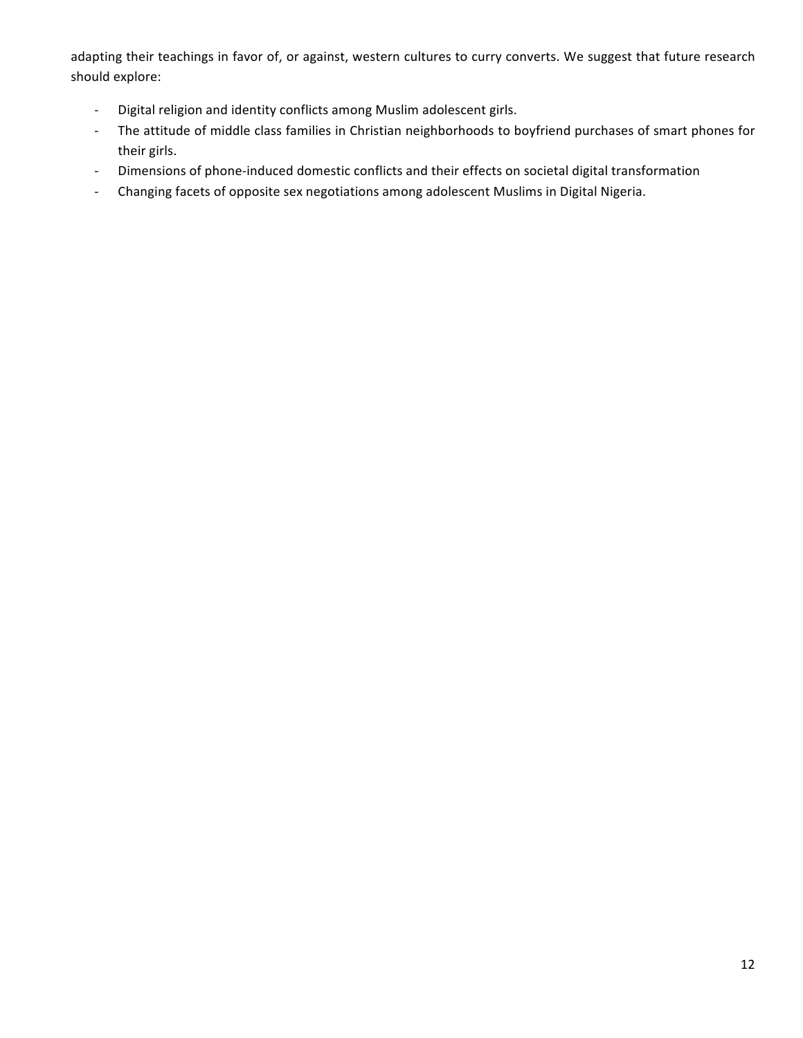adapting their teachings in favor of, or against, western cultures to curry converts. We suggest that future research should explore:

- Digital religion and identity conflicts among Muslim adolescent girls.
- The attitude of middle class families in Christian neighborhoods to boyfriend purchases of smart phones for their girls.
- Dimensions of phone-induced domestic conflicts and their effects on societal digital transformation
- Changing facets of opposite sex negotiations among adolescent Muslims in Digital Nigeria.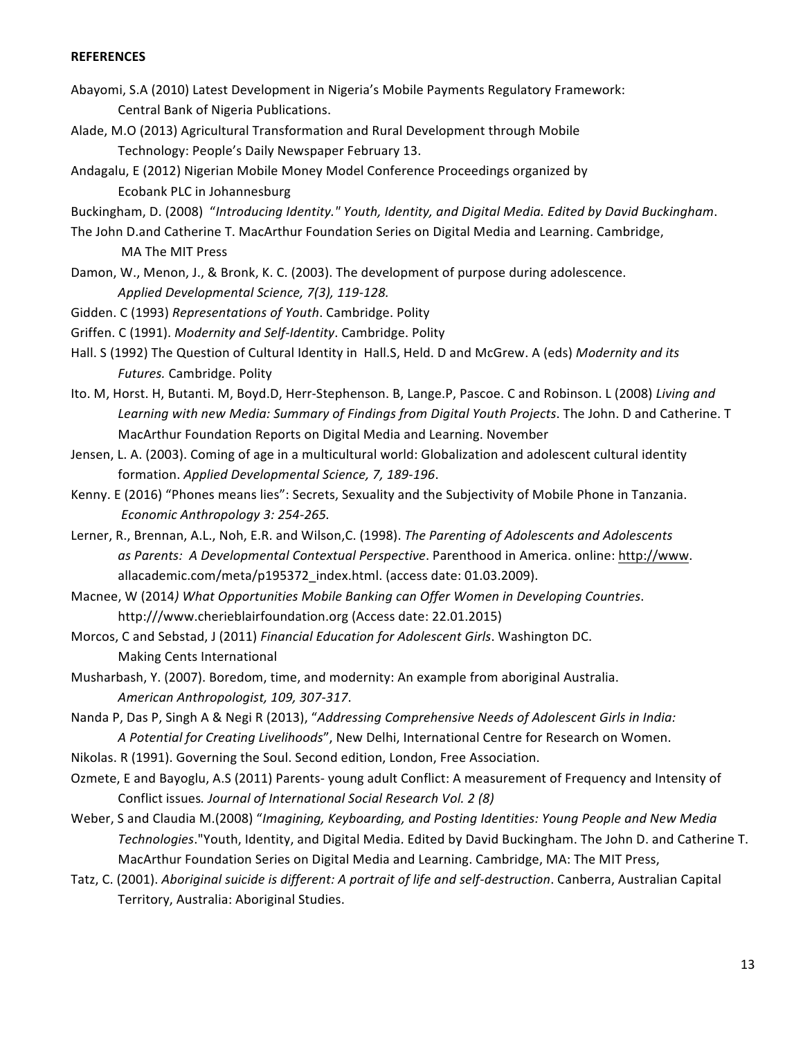## **REFERENCES**

- Abayomi, S.A (2010) Latest Development in Nigeria's Mobile Payments Regulatory Framework: Central Bank of Nigeria Publications.
- Alade, M.O (2013) Agricultural Transformation and Rural Development through Mobile Technology: People's Daily Newspaper February 13.
- Andagalu, E (2012) Nigerian Mobile Money Model Conference Proceedings organized by Ecobank PLC in Johannesburg
- Buckingham, D. (2008) "*Introducing Identity." Youth, Identity, and Digital Media. Edited by David Buckingham.*
- The John D.and Catherine T. MacArthur Foundation Series on Digital Media and Learning. Cambridge, MA The MIT Press
- Damon, W., Menon, J., & Bronk, K. C. (2003). The development of purpose during adolescence. *Applied Developmental Science, 7(3), 119-128.*
- Gidden. C (1993) *Representations of Youth*. Cambridge. Polity
- Griffen. C (1991). *Modernity and Self-Identity*. Cambridge. Polity
- Hall. S (1992) The Question of Cultural Identity in Hall.S, Held. D and McGrew. A (eds) Modernity and its *Futures.* Cambridge. Polity
- Ito. M, Horst. H, Butanti. M, Boyd.D, Herr-Stephenson. B, Lange.P, Pascoe. C and Robinson. L (2008) Living and Learning with new Media: Summary of Findings from Digital Youth Projects. The John. D and Catherine. T MacArthur Foundation Reports on Digital Media and Learning. November
- Jensen, L. A. (2003). Coming of age in a multicultural world: Globalization and adolescent cultural identity formation. Applied Developmental Science, 7, 189-196.
- Kenny. E (2016) "Phones means lies": Secrets, Sexuality and the Subjectivity of Mobile Phone in Tanzania. *Economic Anthropology 3: 254-265.*
- Lerner, R., Brennan, A.L., Noh, E.R. and Wilson,C. (1998). *The Parenting of Adolescents and Adolescents* as Parents: A Developmental Contextual Perspective. Parenthood in America. online: http://www. allacademic.com/meta/p195372 index.html. (access date: 01.03.2009).
- Macnee, W (2014) What Opportunities Mobile Banking can Offer Women in Developing Countries. http:///www.cherieblairfoundation.org (Access date: 22.01.2015)
- Morcos, C and Sebstad, J (2011) Financial Education for Adolescent Girls. Washington DC. Making Cents International
- Musharbash, Y. (2007). Boredom, time, and modernity: An example from aboriginal Australia. *American Anthropologist, 109, 307-317*.
- Nanda P, Das P, Singh A & Negi R (2013), "Addressing Comprehensive Needs of Adolescent Girls in India: A Potential for Creating Livelihoods", New Delhi, International Centre for Research on Women.
- Nikolas. R (1991). Governing the Soul. Second edition, London, Free Association.
- Ozmete, E and Bayoglu, A.S (2011) Parents- young adult Conflict: A measurement of Frequency and Intensity of Conflict issues. Journal of International Social Research Vol. 2 (8)
- Weber, S and Claudia M.(2008) "*Imagining, Keyboarding, and Posting Identities: Young People and New Media* Technologies."Youth, Identity, and Digital Media. Edited by David Buckingham. The John D. and Catherine T. MacArthur Foundation Series on Digital Media and Learning. Cambridge, MA: The MIT Press,
- Tatz, C. (2001). Aboriginal suicide is different: A portrait of life and self-destruction. Canberra, Australian Capital Territory, Australia: Aboriginal Studies.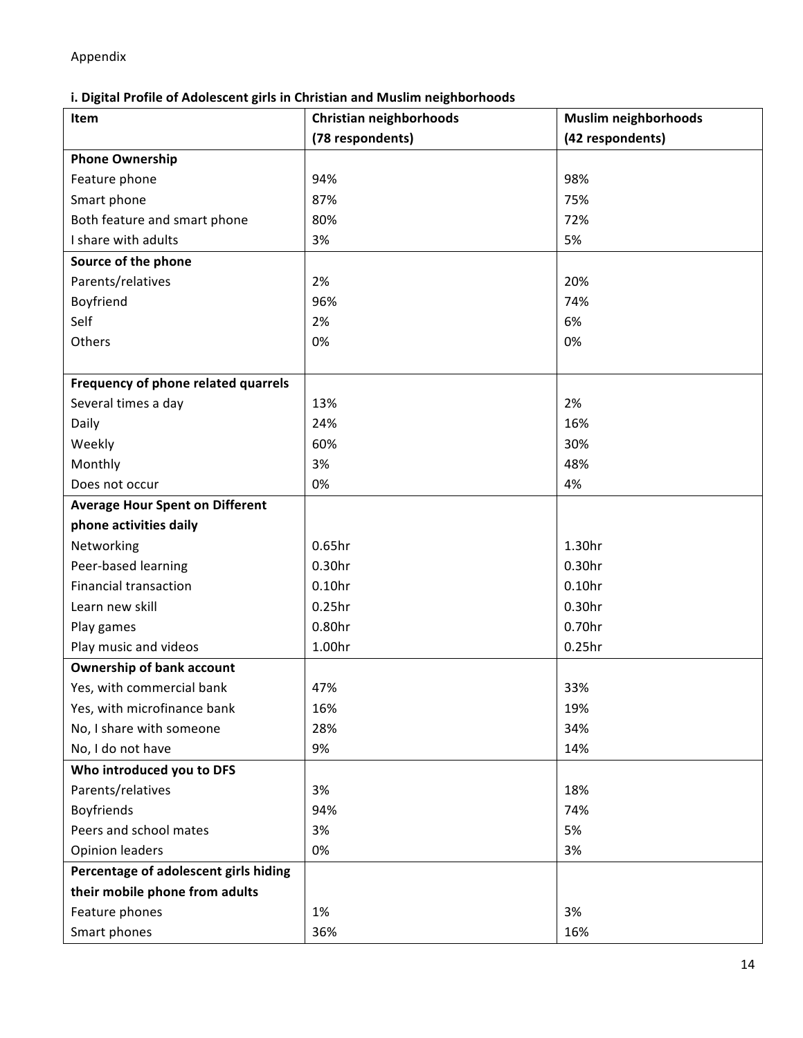Appendix

# **i. Digital Profile of Adolescent girls in Christian and Muslim neighborhoods**

| Item                                   | Christian neighborhoods | <b>Muslim neighborhoods</b> |
|----------------------------------------|-------------------------|-----------------------------|
|                                        | (78 respondents)        | (42 respondents)            |
| <b>Phone Ownership</b>                 |                         |                             |
| Feature phone                          | 94%                     | 98%                         |
| Smart phone                            | 87%                     | 75%                         |
| Both feature and smart phone           | 80%                     | 72%                         |
| I share with adults                    | 3%                      | 5%                          |
| Source of the phone                    |                         |                             |
| Parents/relatives                      | 2%                      | 20%                         |
| Boyfriend                              | 96%                     | 74%                         |
| Self                                   | 2%                      | 6%                          |
| Others                                 | 0%                      | 0%                          |
|                                        |                         |                             |
| Frequency of phone related quarrels    |                         |                             |
| Several times a day                    | 13%                     | 2%                          |
| Daily                                  | 24%                     | 16%                         |
| Weekly                                 | 60%                     | 30%                         |
| Monthly                                | 3%                      | 48%                         |
| Does not occur                         | 0%                      | 4%                          |
| <b>Average Hour Spent on Different</b> |                         |                             |
| phone activities daily                 |                         |                             |
| Networking                             | 0.65 <sub>hr</sub>      | 1.30hr                      |
| Peer-based learning                    | 0.30hr                  | 0.30 <sub>hr</sub>          |
| <b>Financial transaction</b>           | 0.10 <sub>hr</sub>      | 0.10 <sub>hr</sub>          |
| Learn new skill                        | 0.25hr                  | 0.30hr                      |
| Play games                             | 0.80hr                  | 0.70hr                      |
| Play music and videos                  | 1.00hr                  | $0.25$ hr                   |
| <b>Ownership of bank account</b>       |                         |                             |
| Yes, with commercial bank              | 47%                     | 33%                         |
| Yes, with microfinance bank            | 16%                     | 19%                         |
| No, I share with someone               | 28%                     | 34%                         |
| No, I do not have                      | 9%                      | 14%                         |
| Who introduced you to DFS              |                         |                             |
| Parents/relatives                      | 3%                      | 18%                         |
| Boyfriends                             | 94%                     | 74%                         |
| Peers and school mates                 | 3%                      | 5%                          |
| <b>Opinion leaders</b>                 | 0%                      | 3%                          |
| Percentage of adolescent girls hiding  |                         |                             |
| their mobile phone from adults         |                         |                             |
| Feature phones                         | 1%                      | 3%                          |
| Smart phones                           | 36%                     | 16%                         |